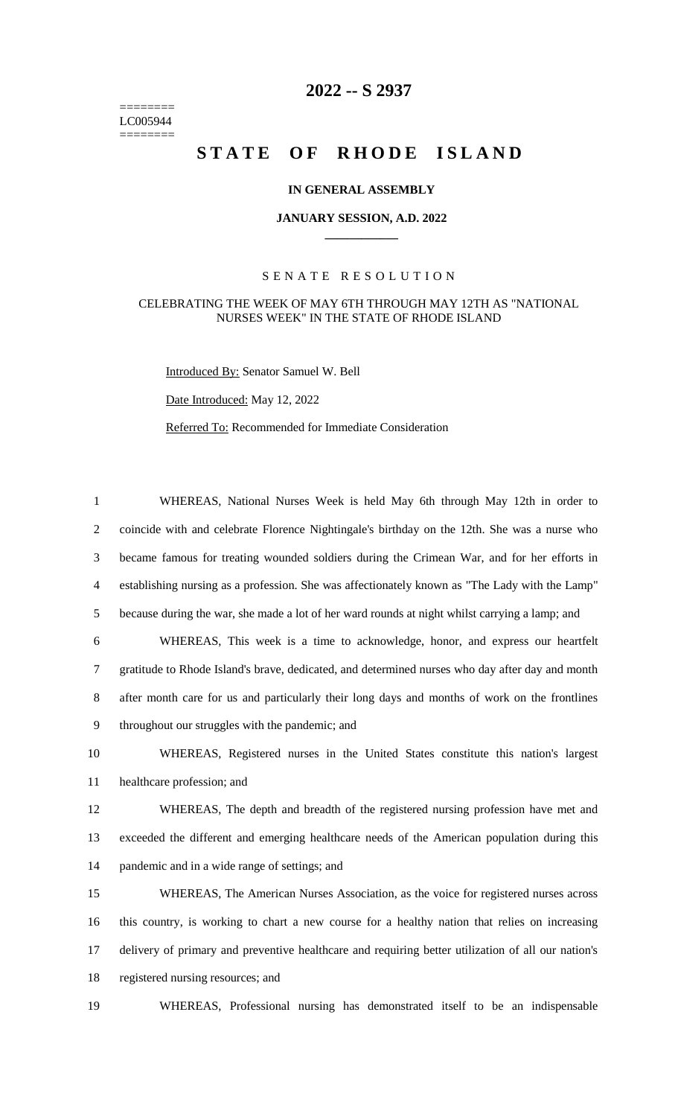======== LC005944  $=$ 

## **-- S 2937**

# STATE OF RHODE ISLAND

### **IN GENERAL ASSEMBLY**

#### **JANUARY SESSION, A.D. 2022 \_\_\_\_\_\_\_\_\_\_\_\_**

#### S E N A T E R E S O L U T I O N

#### CELEBRATING THE WEEK OF MAY 6TH THROUGH MAY 12TH AS "NATIONAL NURSES WEEK" IN THE STATE OF RHODE ISLAND

Introduced By: Senator Samuel W. Bell

Date Introduced: May 12, 2022

Referred To: Recommended for Immediate Consideration

| $\mathbf{1}$   | WHEREAS, National Nurses Week is held May 6th through May 12th in order to                         |
|----------------|----------------------------------------------------------------------------------------------------|
| 2              | coincide with and celebrate Florence Nightingale's birthday on the 12th. She was a nurse who       |
| 3              | became famous for treating wounded soldiers during the Crimean War, and for her efforts in         |
| $\overline{4}$ | establishing nursing as a profession. She was affectionately known as "The Lady with the Lamp"     |
| 5              | because during the war, she made a lot of her ward rounds at night whilst carrying a lamp; and     |
| 6              | WHEREAS, This week is a time to acknowledge, honor, and express our heartfelt                      |
| 7              | gratitude to Rhode Island's brave, dedicated, and determined nurses who day after day and month    |
| 8              | after month care for us and particularly their long days and months of work on the frontlines      |
| 9              | throughout our struggles with the pandemic; and                                                    |
| 10             | WHEREAS, Registered nurses in the United States constitute this nation's largest                   |
| 11             | healthcare profession; and                                                                         |
| 12             | WHEREAS, The depth and breadth of the registered nursing profession have met and                   |
| 13             | exceeded the different and emerging healthcare needs of the American population during this        |
| 14             | pandemic and in a wide range of settings; and                                                      |
| 15             | WHEREAS, The American Nurses Association, as the voice for registered nurses across                |
| 16             | this country, is working to chart a new course for a healthy nation that relies on increasing      |
| 17             | delivery of primary and preventive healthcare and requiring better utilization of all our nation's |
| 18             | registered nursing resources; and                                                                  |
| 19             | WHEREAS, Professional nursing has demonstrated itself to be an indispensable                       |